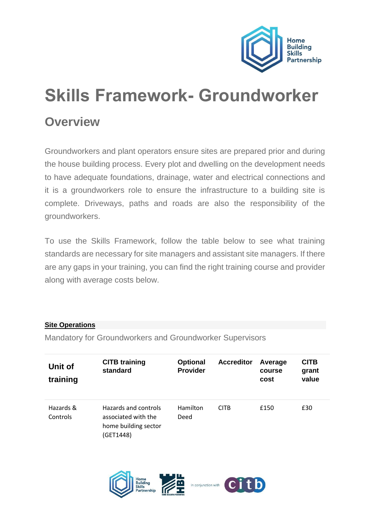

# **Skills Framework- Groundworker**

## **Overview**

Groundworkers and plant operators ensure sites are prepared prior and during the house building process. Every plot and dwelling on the development needs to have adequate foundations, drainage, water and electrical connections and it is a groundworkers role to ensure the infrastructure to a building site is complete. Driveways, paths and roads are also the responsibility of the groundworkers.

To use the Skills Framework, follow the table below to see what training standards are necessary for site managers and assistant site managers. If there are any gaps in your training, you can find the right training course and provider along with average costs below.

#### **[Site Operations](https://www.hbf.co.uk/policy/home-building-skills-partnership/skills-and-training-frameworks/home-building-skills-matrix-Groundworker/#collapse_3_1)**

Mandatory for Groundworkers and Groundworker Supervisors

| Unit of<br>training   | <b>CITB training</b><br>standard                                                 | <b>Optional</b><br><b>Provider</b> | <b>Accreditor</b> | Average<br>course<br>cost | <b>CITB</b><br>grant<br>value |
|-----------------------|----------------------------------------------------------------------------------|------------------------------------|-------------------|---------------------------|-------------------------------|
| Hazards &<br>Controls | Hazards and controls<br>associated with the<br>home building sector<br>(GET1448) | Hamilton<br>Deed                   | <b>CITB</b>       | £150                      | £30                           |

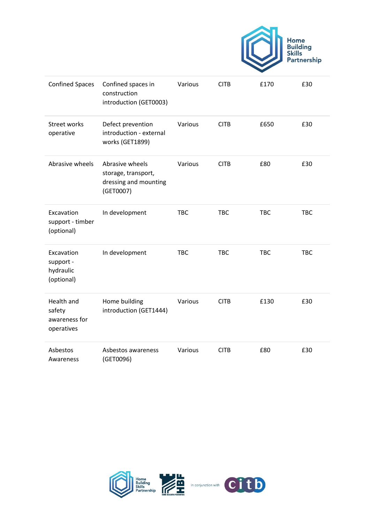|                                                     |                                                                              |            |             |            | <b>Partnership</b> |
|-----------------------------------------------------|------------------------------------------------------------------------------|------------|-------------|------------|--------------------|
| <b>Confined Spaces</b>                              | Confined spaces in<br>construction<br>introduction (GET0003)                 | Various    | <b>CITB</b> | £170       | £30                |
| Street works<br>operative                           | Defect prevention<br>introduction - external<br>works (GET1899)              | Various    | <b>CITB</b> | £650       | £30                |
| Abrasive wheels                                     | Abrasive wheels<br>storage, transport,<br>dressing and mounting<br>(GET0007) | Various    | <b>CITB</b> | £80        | £30                |
| Excavation<br>support - timber<br>(optional)        | In development                                                               | <b>TBC</b> | <b>TBC</b>  | <b>TBC</b> | <b>TBC</b>         |
| Excavation<br>support -<br>hydraulic<br>(optional)  | In development                                                               | <b>TBC</b> | <b>TBC</b>  | <b>TBC</b> | <b>TBC</b>         |
| Health and<br>safety<br>awareness for<br>operatives | Home building<br>introduction (GET1444)                                      | Various    | <b>CITB</b> | £130       | £30                |
| Asbestos<br>Awareness                               | Asbestos awareness<br>(GET0096)                                              | Various    | <b>CITB</b> | £80        | £30                |

Home<br>Building

ſſ

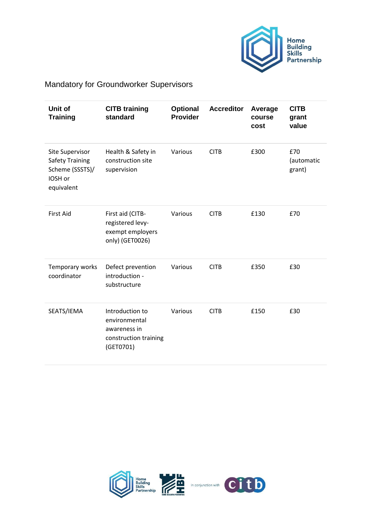

### Mandatory for Groundworker Supervisors

| Unit of<br><b>Training</b>                                                            | <b>CITB training</b><br>standard                                                       | Optional<br><b>Provider</b> | <b>Accreditor</b> | Average<br>course<br>cost | <b>CITB</b><br>grant<br>value |
|---------------------------------------------------------------------------------------|----------------------------------------------------------------------------------------|-----------------------------|-------------------|---------------------------|-------------------------------|
| Site Supervisor<br><b>Safety Training</b><br>Scheme (SSSTS)/<br>IOSH or<br>equivalent | Health & Safety in<br>construction site<br>supervision                                 | Various                     | <b>CITB</b>       | £300                      | £70<br>(automatic<br>grant)   |
| <b>First Aid</b>                                                                      | First aid (CITB-<br>registered levy-<br>exempt employers<br>only) (GET0026)            | Various                     | <b>CITB</b>       | £130                      | £70                           |
| Temporary works<br>coordinator                                                        | Defect prevention<br>introduction -<br>substructure                                    | Various                     | <b>CITB</b>       | £350                      | £30                           |
| SEATS/IEMA                                                                            | Introduction to<br>environmental<br>awareness in<br>construction training<br>(GET0701) | Various                     | <b>CITB</b>       | £150                      | £30                           |

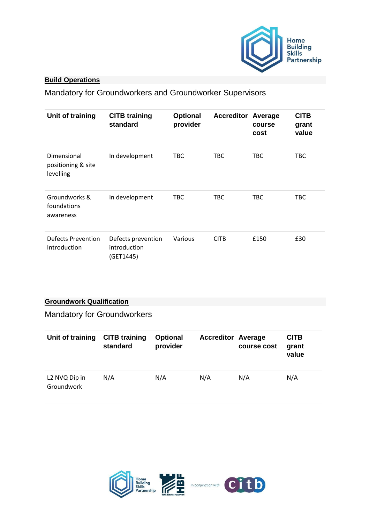

#### **[Build Operations](https://www.hbf.co.uk/policy/home-building-skills-partnership/skills-and-training-frameworks/home-building-skills-matrix-Groundworker/#collapse_4_1)**

Mandatory for Groundworkers and Groundworker Supervisors

| Unit of training                               | <b>CITB training</b><br>standard                | <b>Optional</b><br>provider | <b>Accreditor Average</b> | course<br>cost | <b>CITB</b><br>grant<br>value |
|------------------------------------------------|-------------------------------------------------|-----------------------------|---------------------------|----------------|-------------------------------|
| Dimensional<br>positioning & site<br>levelling | In development                                  | TBC                         | <b>TBC</b>                | TBC            | TBC                           |
| Groundworks &<br>foundations<br>awareness      | In development                                  | <b>TBC</b>                  | <b>TBC</b>                | <b>TBC</b>     | TBC                           |
| Defects Prevention<br>Introduction             | Defects prevention<br>introduction<br>(GET1445) | Various                     | <b>CITB</b>               | £150           | £30                           |

#### **[Groundwork Qualification](https://www.hbf.co.uk/policy/home-building-skills-partnership/skills-and-training-frameworks/home-building-skills-matrix-Groundworker/#collapse_5_1)**

Mandatory for Groundworkers

| Unit of training            | <b>CITB</b> training<br>standard | <b>Optional</b><br>provider | <b>Accreditor Average</b> | course cost | <b>CITB</b><br>grant<br>value |
|-----------------------------|----------------------------------|-----------------------------|---------------------------|-------------|-------------------------------|
| L2 NVQ Dip in<br>Groundwork | N/A                              | N/A                         | N/A                       | N/A         | N/A                           |

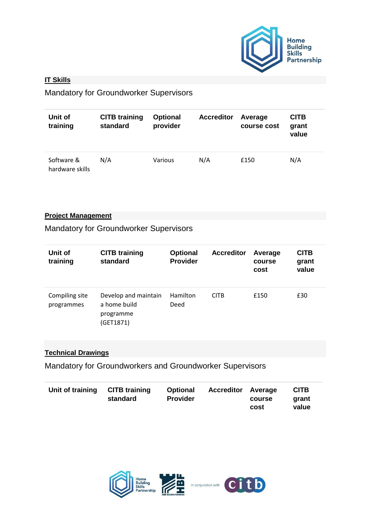

#### **[IT Skills](https://www.hbf.co.uk/policy/home-building-skills-partnership/skills-and-training-frameworks/home-building-skills-matrix-Groundworker/#collapse_6_1)**

Mandatory for Groundworker Supervisors

| Unit of<br>training           | <b>CITB</b> training<br>standard | <b>Optional</b><br>provider | <b>Accreditor</b> | Average<br>course cost | <b>CITB</b><br>grant<br>value |
|-------------------------------|----------------------------------|-----------------------------|-------------------|------------------------|-------------------------------|
| Software &<br>hardware skills | N/A                              | Various                     | N/A               | £150                   | N/A                           |

#### **[Project Management](https://www.hbf.co.uk/policy/home-building-skills-partnership/skills-and-training-frameworks/home-building-skills-matrix-Groundworker/#collapse_7_1)**

Mandatory for Groundworker Supervisors

| Unit of<br>training          | <b>CITB training</b><br>standard                               | <b>Optional</b><br><b>Provider</b> | <b>Accreditor</b> | Average<br>course<br>cost | <b>CITB</b><br>grant<br>value |
|------------------------------|----------------------------------------------------------------|------------------------------------|-------------------|---------------------------|-------------------------------|
| Compiling site<br>programmes | Develop and maintain<br>a home build<br>programme<br>(GET1871) | Hamilton<br>Deed                   | <b>CITB</b>       | £150                      | £30                           |

#### **[Technical Drawings](https://www.hbf.co.uk/policy/home-building-skills-partnership/skills-and-training-frameworks/home-building-skills-matrix-Groundworker/#collapse_8_1)**

Mandatory for Groundworkers and Groundworker Supervisors

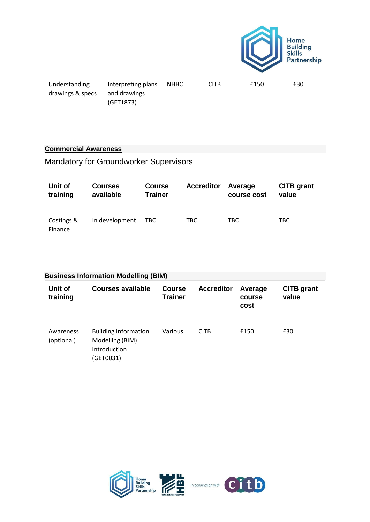

| Understanding    | Interpreting plans | <b>NHBC</b> | CITB | £150 | £30 |
|------------------|--------------------|-------------|------|------|-----|
| drawings & specs | and drawings       |             |      |      |     |
|                  | (GET1873)          |             |      |      |     |

#### **[Commercial Awareness](https://www.hbf.co.uk/policy/home-building-skills-partnership/skills-and-training-frameworks/home-building-skills-matrix-Groundworker/#collapse_9_1)**

Mandatory for Groundworker Supervisors

| Unit of               | <b>Courses</b> | <b>Course</b>  | <b>Accreditor</b> | Average     | <b>CITB</b> grant |
|-----------------------|----------------|----------------|-------------------|-------------|-------------------|
| training              | available      | <b>Trainer</b> |                   | course cost | value             |
| Costings &<br>Finance | In development | TBC.           | TBC.              | TBC.        | TBC               |

| <b>Business Information Modelling (BIM)</b> |                                                                             |                                 |                   |                           |                            |  |  |
|---------------------------------------------|-----------------------------------------------------------------------------|---------------------------------|-------------------|---------------------------|----------------------------|--|--|
| Unit of<br>training                         | <b>Courses available</b>                                                    | <b>Course</b><br><b>Trainer</b> | <b>Accreditor</b> | Average<br>course<br>cost | <b>CITB</b> grant<br>value |  |  |
| Awareness<br>(optional)                     | <b>Building Information</b><br>Modelling (BIM)<br>Introduction<br>(GET0031) | Various                         | <b>CITB</b>       | £150                      | £30                        |  |  |

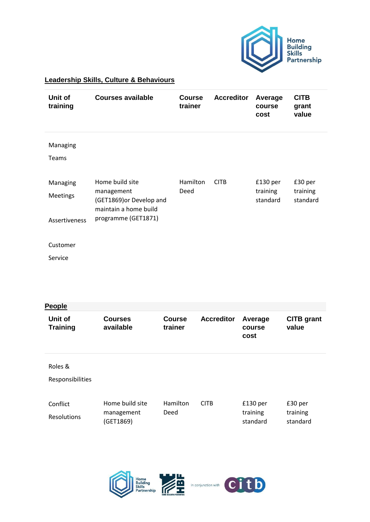

#### **[Leadership Skills, Culture & Behaviours](https://www.hbf.co.uk/policy/home-building-skills-partnership/skills-and-training-frameworks/home-building-skills-matrix-surveyor/#collapse_19_1)**

| Unit of<br>training                                 | <b>Courses available</b>                                                                                  | <b>Course</b><br>trainer | <b>Accreditor</b> | Average<br>course<br>cost        | <b>CITB</b><br>grant<br>value   |
|-----------------------------------------------------|-----------------------------------------------------------------------------------------------------------|--------------------------|-------------------|----------------------------------|---------------------------------|
| Managing<br><b>Teams</b>                            |                                                                                                           |                          |                   |                                  |                                 |
| Managing<br><b>Meetings</b><br><b>Assertiveness</b> | Home build site<br>management<br>(GET1869) or Develop and<br>maintain a home build<br>programme (GET1871) | Hamilton<br>Deed         | <b>CITB</b>       | £130 per<br>training<br>standard | £30 per<br>training<br>standard |
| Customer                                            |                                                                                                           |                          |                   |                                  |                                 |
| Service                                             |                                                                                                           |                          |                   |                                  |                                 |

| People                         |                                            |                          |                   |                                  |                                 |
|--------------------------------|--------------------------------------------|--------------------------|-------------------|----------------------------------|---------------------------------|
| Unit of<br><b>Training</b>     | <b>Courses</b><br>available                | <b>Course</b><br>trainer | <b>Accreditor</b> | Average<br>course<br>cost        | <b>CITB</b> grant<br>value      |
| Roles &<br>Responsibilities    |                                            |                          |                   |                                  |                                 |
| Conflict<br><b>Resolutions</b> | Home build site<br>management<br>(GET1869) | Hamilton<br>Deed         | <b>CITB</b>       | £130 per<br>training<br>standard | £30 per<br>training<br>standard |